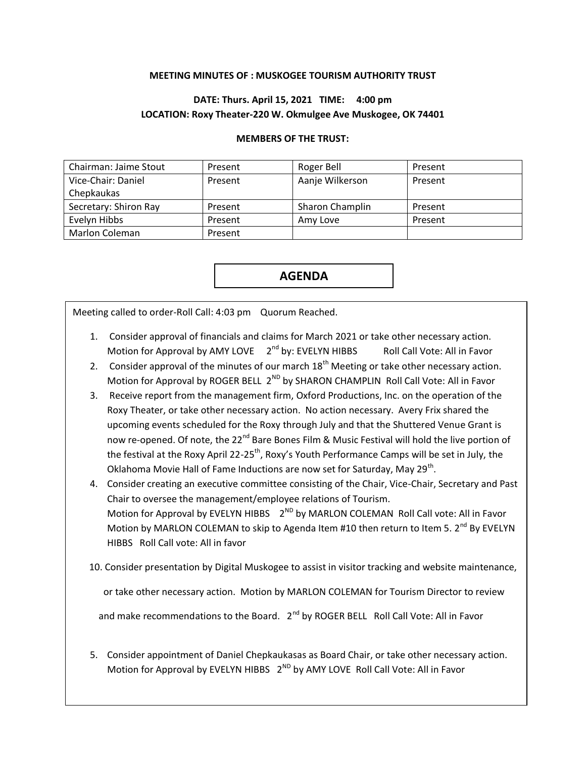## **MEETING MINUTES OF : MUSKOGEE TOURISM AUTHORITY TRUST**

## **DATE: Thurs. April 15, 2021 TIME: 4:00 pm LOCATION: Roxy Theater-220 W. Okmulgee Ave Muskogee, OK 74401**

## **MEMBERS OF THE TRUST:**

| Chairman: Jaime Stout | Present | Roger Bell      | Present |
|-----------------------|---------|-----------------|---------|
| Vice-Chair: Daniel    | Present | Aanje Wilkerson | Present |
| Chepkaukas            |         |                 |         |
| Secretary: Shiron Ray | Present | Sharon Champlin | Present |
| Evelyn Hibbs          | Present | Amy Love        | Present |
|                       |         |                 |         |

**AGENDA**

Meeting called to order-Roll Call: 4:03 pm Quorum Reached.

- 1. Consider approval of financials and claims for March 2021 or take other necessary action. Motion for Approval by AMY LOVE  $2<sup>nd</sup>$  by: EVELYN HIBBS Roll Call Vote: All in Favor
- 2. Consider approval of the minutes of our march  $18<sup>th</sup>$  Meeting or take other necessary action. Motion for Approval by ROGER BELL 2<sup>ND</sup> by SHARON CHAMPLIN Roll Call Vote: All in Favor
- 3. Receive report from the management firm, Oxford Productions, Inc. on the operation of the Roxy Theater, or take other necessary action. No action necessary. Avery Frix shared the upcoming events scheduled for the Roxy through July and that the Shuttered Venue Grant is now re-opened. Of note, the 22<sup>nd</sup> Bare Bones Film & Music Festival will hold the live portion of the festival at the Roxy April 22-25<sup>th</sup>, Roxy's Youth Performance Camps will be set in July, the Oklahoma Movie Hall of Fame Inductions are now set for Saturday, May 29<sup>th</sup>.
- 4. Consider creating an executive committee consisting of the Chair, Vice-Chair, Secretary and Past Chair to oversee the management/employee relations of Tourism. Motion for Approval by EVELYN HIBBS  $2^{ND}$  by MARLON COLEMAN Roll Call vote: All in Favor Motion by MARLON COLEMAN to skip to Agenda Item #10 then return to Item 5.  $2^{nd}$  By EVELYN HIBBS Roll Call vote: All in favor
- 10. Consider presentation by Digital Muskogee to assist in visitor tracking and website maintenance,

or take other necessary action. Motion by MARLON COLEMAN for Tourism Director to review

and make recommendations to the Board. 2<sup>nd</sup> by ROGER BELL Roll Call Vote: All in Favor

5. Consider appointment of Daniel Chepkaukasas as Board Chair, or take other necessary action. Motion for Approval by EVELYN HIBBS  $2^{ND}$  by AMY LOVE Roll Call Vote: All in Favor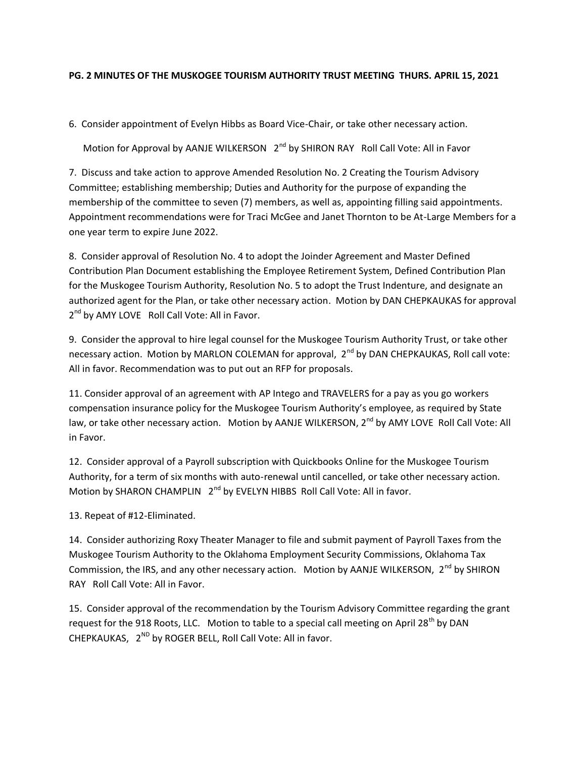## **PG. 2 MINUTES OF THE MUSKOGEE TOURISM AUTHORITY TRUST MEETING THURS. APRIL 15, 2021**

6. Consider appointment of Evelyn Hibbs as Board Vice-Chair, or take other necessary action.

Motion for Approval by AANJE WILKERSON  $2^{nd}$  by SHIRON RAY Roll Call Vote: All in Favor

7. Discuss and take action to approve Amended Resolution No. 2 Creating the Tourism Advisory Committee; establishing membership; Duties and Authority for the purpose of expanding the membership of the committee to seven (7) members, as well as, appointing filling said appointments. Appointment recommendations were for Traci McGee and Janet Thornton to be At-Large Members for a one year term to expire June 2022.

8. Consider approval of Resolution No. 4 to adopt the Joinder Agreement and Master Defined Contribution Plan Document establishing the Employee Retirement System, Defined Contribution Plan for the Muskogee Tourism Authority, Resolution No. 5 to adopt the Trust Indenture, and designate an authorized agent for the Plan, or take other necessary action. Motion by DAN CHEPKAUKAS for approval 2<sup>nd</sup> by AMY LOVE Roll Call Vote: All in Favor.

9. Consider the approval to hire legal counsel for the Muskogee Tourism Authority Trust, or take other necessary action. Motion by MARLON COLEMAN for approval, 2<sup>nd</sup> by DAN CHEPKAUKAS, Roll call vote: All in favor. Recommendation was to put out an RFP for proposals.

11. Consider approval of an agreement with AP Intego and TRAVELERS for a pay as you go workers compensation insurance policy for the Muskogee Tourism Authority's employee, as required by State law, or take other necessary action. Motion by AANJE WILKERSON, 2<sup>nd</sup> by AMY LOVE Roll Call Vote: All in Favor.

12. Consider approval of a Payroll subscription with Quickbooks Online for the Muskogee Tourism Authority, for a term of six months with auto-renewal until cancelled, or take other necessary action. Motion by SHARON CHAMPLIN 2<sup>nd</sup> by EVELYN HIBBS Roll Call Vote: All in favor.

13. Repeat of #12-Eliminated.

14. Consider authorizing Roxy Theater Manager to file and submit payment of Payroll Taxes from the Muskogee Tourism Authority to the Oklahoma Employment Security Commissions, Oklahoma Tax Commission, the IRS, and any other necessary action. Motion by AANJE WILKERSON, 2<sup>nd</sup> by SHIRON RAY Roll Call Vote: All in Favor.

15. Consider approval of the recommendation by the Tourism Advisory Committee regarding the grant request for the 918 Roots, LLC. Motion to table to a special call meeting on April 28<sup>th</sup> by DAN CHEPKAUKAS,  $2^{ND}$  by ROGER BELL, Roll Call Vote: All in favor.